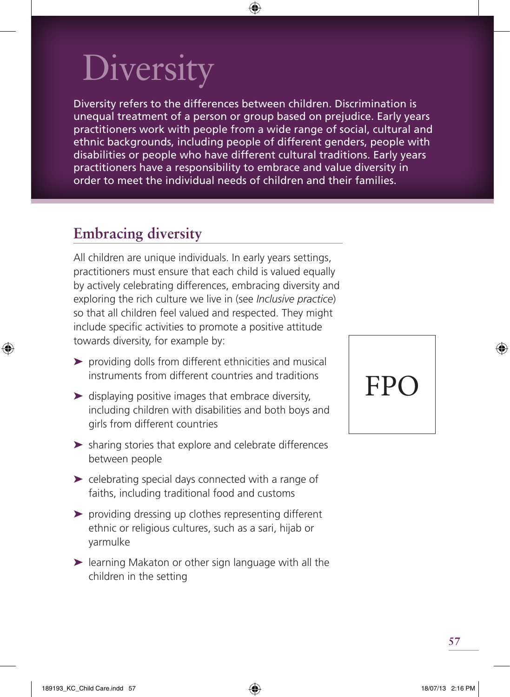# **Diversity**

Diversity refers to the differences between children. Discrimination is unequal treatment of a person or group based on prejudice. Early years practitioners work with people from a wide range of social, cultural and ethnic backgrounds, including people of different genders, people with disabilities or people who have different cultural traditions. Early years practitioners have a responsibility to embrace and value diversity in order to meet the individual needs of children and their families.

### **Embracing diversity**

All children are unique individuals. In early years settings, practitioners must ensure that each child is valued equally by actively celebrating differences, embracing diversity and exploring the rich culture we live in (see *Inclusive practice*) so that all children feel valued and respected. They might include specific activities to promote a positive attitude towards diversity, for example by:

- ➤ providing dolls from different ethnicities and musical instruments from different countries and traditions
- $\blacktriangleright$  displaying positive images that embrace diversity, including children with disabilities and both boys and girls from different countries
- ➤ sharing stories that explore and celebrate differences between people
- ➤ celebrating special days connected with a range of faiths, including traditional food and customs
- ➤ providing dressing up clothes representing different ethnic or religious cultures, such as a sari, hijab or yarmulke
- ➤ learning Makaton or other sign language with all the children in the setting

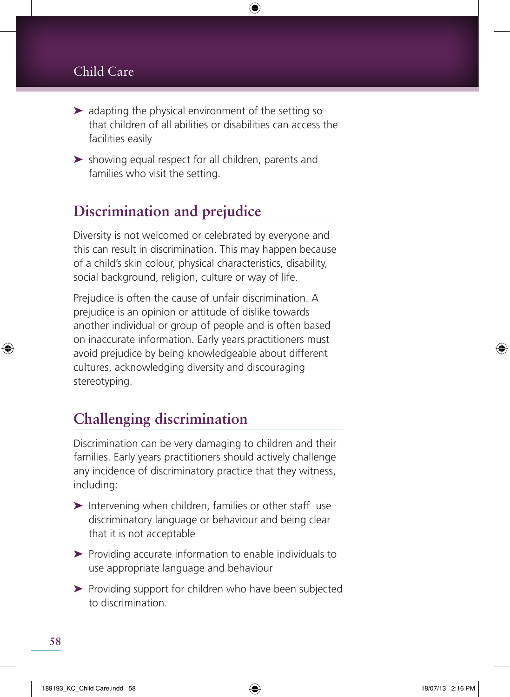#### Child Care

- ➤ adapting the physical environment of the setting so that children of all abilities or disabilities can access the facilities easily
- ➤ showing equal respect for all children, parents and families who visit the setting.

### **Discrimination and prejudice**

Diversity is not welcomed or celebrated by everyone and this can result in discrimination. This may happen because of a child's skin colour, physical characteristics, disability, social background, religion, culture or way of life.

Prejudice is often the cause of unfair discrimination. A prejudice is an opinion or attitude of dislike towards another individual or group of people and is often based on inaccurate information. Early years practitioners must avoid prejudice by being knowledgeable about different cultures, acknowledging diversity and discouraging stereotyping.

### **Challenging discrimination**

Discrimination can be very damaging to children and their families. Early years practitioners should actively challenge any incidence of discriminatory practice that they witness, including:

- ➤ Intervening when children, families or other staff use discriminatory language or behaviour and being clear that it is not acceptable
- ➤ Providing accurate information to enable individuals to use appropriate language and behaviour
- ▶ Providing support for children who have been subjected to discrimination.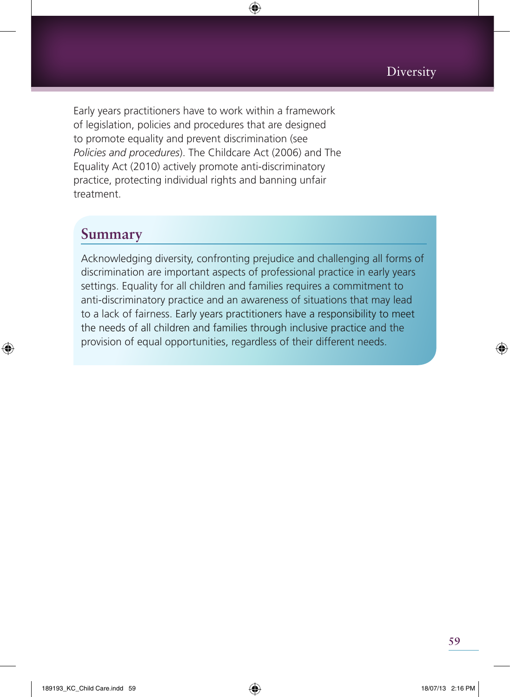Early years practitioners have to work within a framework of legislation, policies and procedures that are designed to promote equality and prevent discrimination (see *Policies and procedures*). The Childcare Act (2006) and The Equality Act (2010) actively promote anti-discriminatory practice, protecting individual rights and banning unfair treatment.

#### **Summary**

Acknowledging diversity, confronting prejudice and challenging all forms of discrimination are important aspects of professional practice in early years settings. Equality for all children and families requires a commitment to anti-discriminatory practice and an awareness of situations that may lead to a lack of fairness. Early years practitioners have a responsibility to meet the needs of all children and families through inclusive practice and the provision of equal opportunities, regardless of their different needs.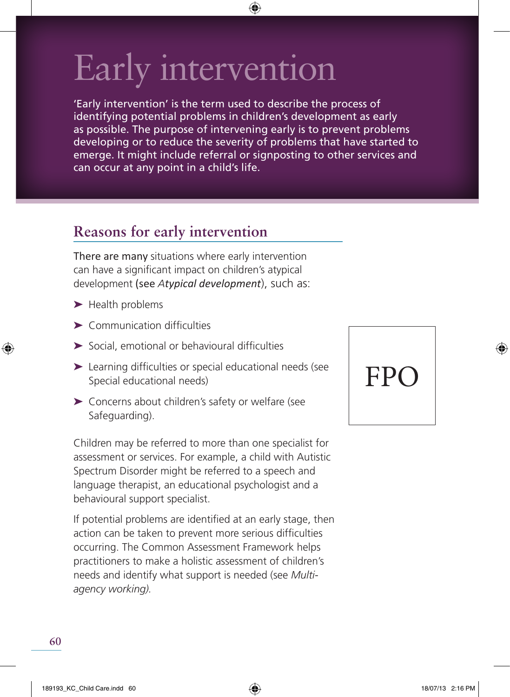# Early intervention

'Early intervention' is the term used to describe the process of identifying potential problems in children's development as early as possible. The purpose of intervening early is to prevent problems developing or to reduce the severity of problems that have started to emerge. It might include referral or signposting to other services and can occur at any point in a child's life.

## **Reasons for early intervention**

There are many situations where early intervention can have a significant impact on children's atypical development (see *Atypical development*), such as:

- ➤ Health problems
- $\blacktriangleright$  Communication difficulties
- $\triangleright$  Social, emotional or behavioural difficulties
- $\blacktriangleright$  Learning difficulties or special educational needs (see Special educational needs)
- ➤ Concerns about children's safety or welfare (see Safeguarding).

Children may be referred to more than one specialist for assessment or services. For example, a child with Autistic Spectrum Disorder might be referred to a speech and language therapist, an educational psychologist and a behavioural support specialist.

If potential problems are identified at an early stage, then action can be taken to prevent more serious difficulties occurring. The Common Assessment Framework helps practitioners to make a holistic assessment of children's needs and identify what support is needed (see *Multiagency working).* 

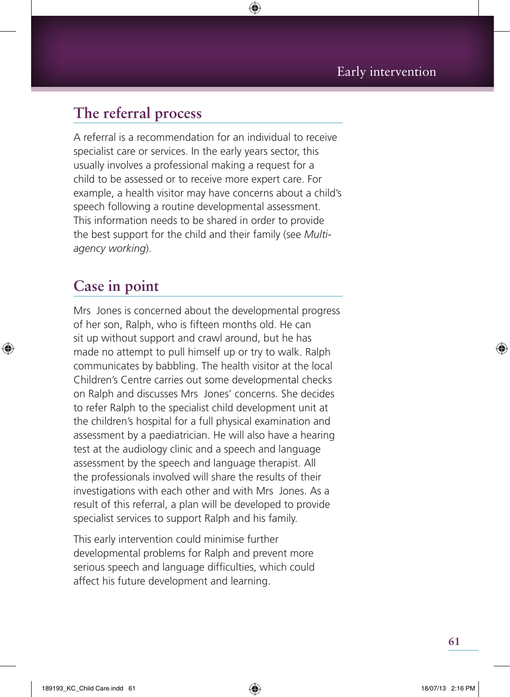### **The referral process**

A referral is a recommendation for an individual to receive specialist care or services. In the early years sector, this usually involves a professional making a request for a child to be assessed or to receive more expert care. For example, a health visitor may have concerns about a child's speech following a routine developmental assessment. This information needs to be shared in order to provide the best support for the child and their family (see *Multiagency working*).

### **Case in point**

Mrs Jones is concerned about the developmental progress of her son, Ralph, who is fifteen months old. He can sit up without support and crawl around, but he has made no attempt to pull himself up or try to walk. Ralph communicates by babbling. The health visitor at the local Children's Centre carries out some developmental checks on Ralph and discusses Mrs Jones' concerns. She decides to refer Ralph to the specialist child development unit at the children's hospital for a full physical examination and assessment by a paediatrician. He will also have a hearing test at the audiology clinic and a speech and language assessment by the speech and language therapist. All the professionals involved will share the results of their investigations with each other and with Mrs Jones. As a result of this referral, a plan will be developed to provide specialist services to support Ralph and his family.

This early intervention could minimise further developmental problems for Ralph and prevent more serious speech and language difficulties, which could affect his future development and learning.